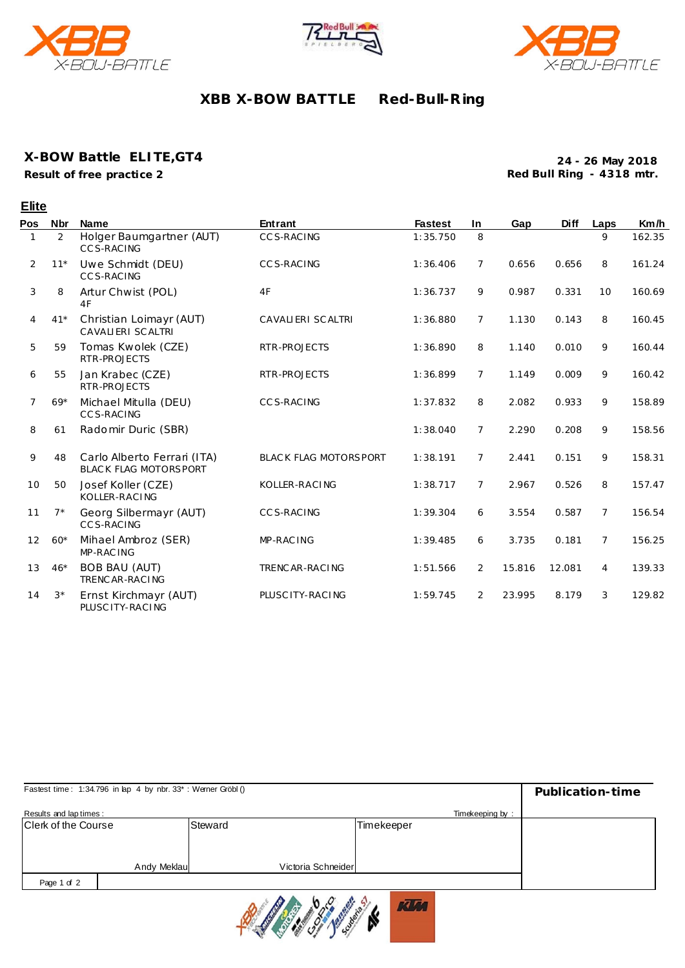





# **XBB X-BOW BATTLE Red-Bull-R ing**

### **X-BOW Battle ELITE,GT4**

**Result of free practice 2**

**Elite**

**24 - 26 May 2018 Red Bull Ring - 4318 mtr.**

| Pos | <b>Nbr</b>  | <b>Name</b>                                                 | <b>Entrant</b>               | <b>Fastest</b> | <b>In</b>      | Gap    | <b>Diff</b> | Laps           | Km/h   |
|-----|-------------|-------------------------------------------------------------|------------------------------|----------------|----------------|--------|-------------|----------------|--------|
|     | 2           | Holger Baumgartner (AUT)<br>CCS-RACING                      | <b>CCS-RACING</b>            | 1:35.750       | 8              |        |             | 9              | 162.35 |
| 2   | $11*$       | Uwe Schmidt (DEU)<br><b>CCS-RACING</b>                      | CCS-RACING                   | 1:36.406       | 7              | 0.656  | 0.656       | 8              | 161.24 |
| 3   | 8           | Artur Chwist (POL)<br>4F                                    | 4F                           | 1:36.737       | 9              | 0.987  | 0.331       | 10             | 160.69 |
| 4   | $41*$       | Christian Loimayr (AUT)<br><b>CAVALIERI SCALTRI</b>         | CAVALIERI SCALTRI            | 1:36.880       | $\overline{7}$ | 1.130  | 0.143       | 8              | 160.45 |
| 5   | 59          | Tomas Kwolek (CZE)<br>RTR-PROJECTS                          | RTR-PROJECTS                 | 1:36.890       | 8              | 1.140  | 0.010       | 9              | 160.44 |
| 6   | 55          | Jan Krabec (CZE)<br>RTR-PROJECTS                            | RTR-PROJECTS                 | 1:36.899       | $\overline{7}$ | 1.149  | 0.009       | 9              | 160.42 |
| 7   | $69*$       | Michael Mitulla (DEU)<br>CCS-RACING                         | CCS-RACING                   | 1:37.832       | 8              | 2.082  | 0.933       | 9              | 158.89 |
| 8   | 61          | Radomir Duric (SBR)                                         |                              | 1:38.040       | $\overline{7}$ | 2.290  | 0.208       | 9              | 158.56 |
| 9   | 48          | Carlo Alberto Ferrari (ITA)<br><b>BLACK FLAG MOTORSPORT</b> | <b>BLACK FLAG MOTORSPORT</b> | 1:38.191       | $\overline{7}$ | 2.441  | 0.151       | 9              | 158.31 |
| 10  | 50          | Josef Koller (CZE)<br>KOLLER-RACING                         | KOLLER-RACING                | 1:38.717       | $\overline{7}$ | 2.967  | 0.526       | 8              | 157.47 |
| 11  | $7^{\star}$ | Georg Silbermayr (AUT)<br><b>CCS-RACING</b>                 | CCS-RACING                   | 1:39.304       | 6              | 3.554  | 0.587       | 7              | 156.54 |
| 12  | $60*$       | Mihael Ambroz (SER)<br>MP-RAC ING                           | MP-RAC ING                   | 1:39.485       | 6              | 3.735  | 0.181       | $\overline{7}$ | 156.25 |
| 13  | $46*$       | <b>BOB BAU (AUT)</b><br>TRENC AR-RACING                     | TRENCAR-RACING               | 1:51.566       | 2              | 15.816 | 12.081      | $\overline{4}$ | 139.33 |
| 14  | $3^{\star}$ | Ernst Kirchmayr (AUT)<br>PLUSC ITY-RACING                   | PLUSC ITY-RACING             | 1:59.745       | 2              | 23.995 | 8.179       | 3              | 129.82 |

| Fastest time: 1:34.796 in lap 4 by nbr. 33*: Werner Gröbl () | Publication-time |                    |                 |  |
|--------------------------------------------------------------|------------------|--------------------|-----------------|--|
| Results and lap times:                                       |                  |                    | Timekeeping by: |  |
| Clerk of the Course                                          |                  | Steward            | Timekeeper      |  |
|                                                              |                  |                    |                 |  |
|                                                              |                  |                    |                 |  |
|                                                              | Andy Meklau      | Victoria Schneider |                 |  |
| Page 1 of 2                                                  |                  |                    |                 |  |